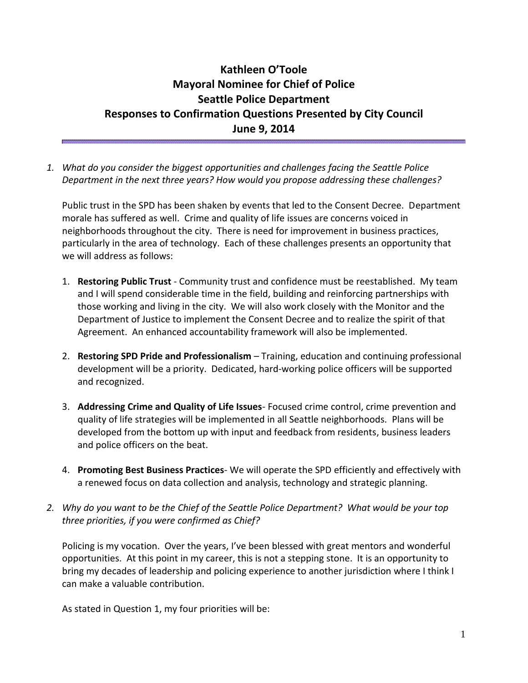## **Kathleen O'Toole Mayoral Nominee for Chief of Police Seattle Police Department Responses to Confirmation Questions Presented by City Council June 9, 2014**

*1. What do you consider the biggest opportunities and challenges facing the Seattle Police Department in the next three years? How would you propose addressing these challenges?*

Public trust in the SPD has been shaken by events that led to the Consent Decree. Department morale has suffered as well. Crime and quality of life issues are concerns voiced in neighborhoods throughout the city. There is need for improvement in business practices, particularly in the area of technology. Each of these challenges presents an opportunity that we will address as follows:

- 1. **Restoring Public Trust**  Community trust and confidence must be reestablished. My team and I will spend considerable time in the field, building and reinforcing partnerships with those working and living in the city. We will also work closely with the Monitor and the Department of Justice to implement the Consent Decree and to realize the spirit of that Agreement. An enhanced accountability framework will also be implemented.
- 2. **Restoring SPD Pride and Professionalism**  Training, education and continuing professional development will be a priority. Dedicated, hard-working police officers will be supported and recognized.
- 3. **Addressing Crime and Quality of Life Issues** Focused crime control, crime prevention and quality of life strategies will be implemented in all Seattle neighborhoods. Plans will be developed from the bottom up with input and feedback from residents, business leaders and police officers on the beat.
- 4. **Promoting Best Business Practices** We will operate the SPD efficiently and effectively with a renewed focus on data collection and analysis, technology and strategic planning.
- *2. Why do you want to be the Chief of the Seattle Police Department? What would be your top three priorities, if you were confirmed as Chief?*

Policing is my vocation. Over the years, I've been blessed with great mentors and wonderful opportunities. At this point in my career, this is not a stepping stone. It is an opportunity to bring my decades of leadership and policing experience to another jurisdiction where I think I can make a valuable contribution.

As stated in Question 1, my four priorities will be: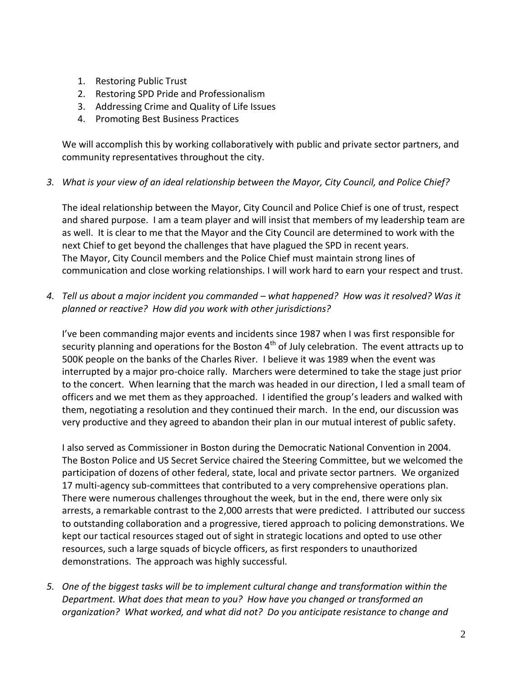- 1. Restoring Public Trust
- 2. Restoring SPD Pride and Professionalism
- 3. Addressing Crime and Quality of Life Issues
- 4. Promoting Best Business Practices

We will accomplish this by working collaboratively with public and private sector partners, and community representatives throughout the city.

*3. What is your view of an ideal relationship between the Mayor, City Council, and Police Chief?*

The ideal relationship between the Mayor, City Council and Police Chief is one of trust, respect and shared purpose. I am a team player and will insist that members of my leadership team are as well. It is clear to me that the Mayor and the City Council are determined to work with the next Chief to get beyond the challenges that have plagued the SPD in recent years. The Mayor, City Council members and the Police Chief must maintain strong lines of communication and close working relationships. I will work hard to earn your respect and trust.

*4. Tell us about a major incident you commanded – what happened? How was it resolved? Was it planned or reactive? How did you work with other jurisdictions?*

I've been commanding major events and incidents since 1987 when I was first responsible for security planning and operations for the Boston  $4<sup>th</sup>$  of July celebration. The event attracts up to 500K people on the banks of the Charles River. I believe it was 1989 when the event was interrupted by a major pro-choice rally. Marchers were determined to take the stage just prior to the concert. When learning that the march was headed in our direction, I led a small team of officers and we met them as they approached. I identified the group's leaders and walked with them, negotiating a resolution and they continued their march. In the end, our discussion was very productive and they agreed to abandon their plan in our mutual interest of public safety.

I also served as Commissioner in Boston during the Democratic National Convention in 2004. The Boston Police and US Secret Service chaired the Steering Committee, but we welcomed the participation of dozens of other federal, state, local and private sector partners. We organized 17 multi-agency sub-committees that contributed to a very comprehensive operations plan. There were numerous challenges throughout the week, but in the end, there were only six arrests, a remarkable contrast to the 2,000 arrests that were predicted. I attributed our success to outstanding collaboration and a progressive, tiered approach to policing demonstrations. We kept our tactical resources staged out of sight in strategic locations and opted to use other resources, such a large squads of bicycle officers, as first responders to unauthorized demonstrations. The approach was highly successful.

*5. One of the biggest tasks will be to implement cultural change and transformation within the Department. What does that mean to you? How have you changed or transformed an organization? What worked, and what did not? Do you anticipate resistance to change and*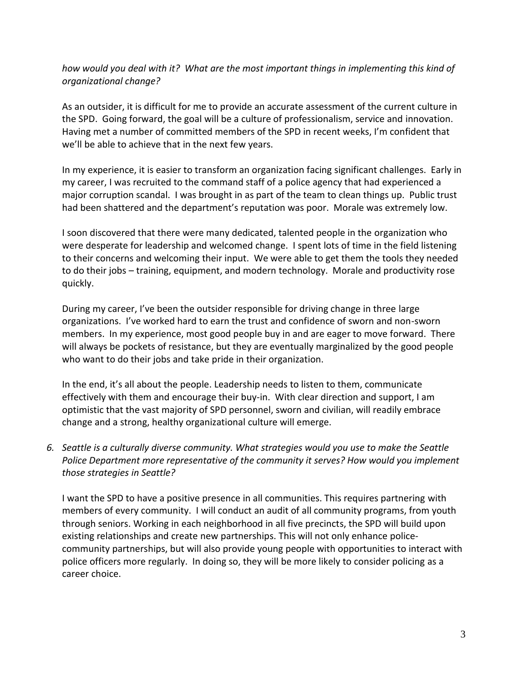*how would you deal with it? What are the most important things in implementing this kind of organizational change?*

As an outsider, it is difficult for me to provide an accurate assessment of the current culture in the SPD. Going forward, the goal will be a culture of professionalism, service and innovation. Having met a number of committed members of the SPD in recent weeks, I'm confident that we'll be able to achieve that in the next few years.

In my experience, it is easier to transform an organization facing significant challenges. Early in my career, I was recruited to the command staff of a police agency that had experienced a major corruption scandal. I was brought in as part of the team to clean things up. Public trust had been shattered and the department's reputation was poor. Morale was extremely low.

I soon discovered that there were many dedicated, talented people in the organization who were desperate for leadership and welcomed change. I spent lots of time in the field listening to their concerns and welcoming their input. We were able to get them the tools they needed to do their jobs – training, equipment, and modern technology. Morale and productivity rose quickly.

During my career, I've been the outsider responsible for driving change in three large organizations. I've worked hard to earn the trust and confidence of sworn and non-sworn members. In my experience, most good people buy in and are eager to move forward. There will always be pockets of resistance, but they are eventually marginalized by the good people who want to do their jobs and take pride in their organization.

In the end, it's all about the people. Leadership needs to listen to them, communicate effectively with them and encourage their buy-in. With clear direction and support, I am optimistic that the vast majority of SPD personnel, sworn and civilian, will readily embrace change and a strong, healthy organizational culture will emerge.

*6. Seattle is a culturally diverse community. What strategies would you use to make the Seattle Police Department more representative of the community it serves? How would you implement those strategies in Seattle?*

I want the SPD to have a positive presence in all communities. This requires partnering with members of every community. I will conduct an audit of all community programs, from youth through seniors. Working in each neighborhood in all five precincts, the SPD will build upon existing relationships and create new partnerships. This will not only enhance policecommunity partnerships, but will also provide young people with opportunities to interact with police officers more regularly. In doing so, they will be more likely to consider policing as a career choice.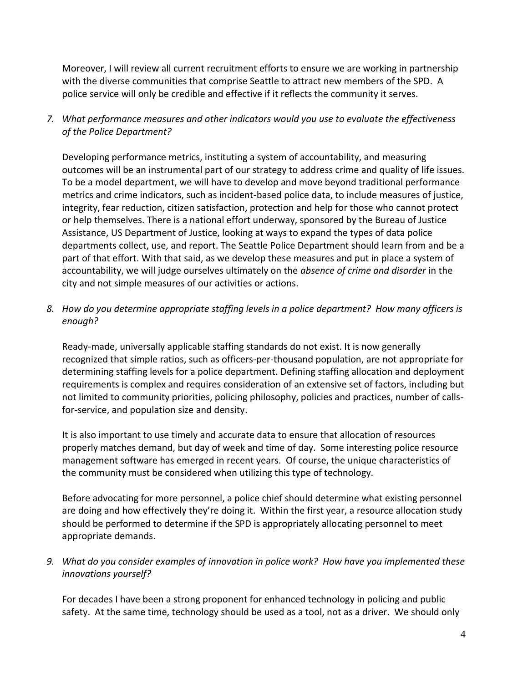Moreover, I will review all current recruitment efforts to ensure we are working in partnership with the diverse communities that comprise Seattle to attract new members of the SPD. A police service will only be credible and effective if it reflects the community it serves.

*7. What performance measures and other indicators would you use to evaluate the effectiveness of the Police Department?*

Developing performance metrics, instituting a system of accountability, and measuring outcomes will be an instrumental part of our strategy to address crime and quality of life issues. To be a model department, we will have to develop and move beyond traditional performance metrics and crime indicators, such as incident-based police data, to include measures of justice, integrity, fear reduction, citizen satisfaction, protection and help for those who cannot protect or help themselves. There is a national effort underway, sponsored by the Bureau of Justice Assistance, US Department of Justice, looking at ways to expand the types of data police departments collect, use, and report. The Seattle Police Department should learn from and be a part of that effort. With that said, as we develop these measures and put in place a system of accountability, we will judge ourselves ultimately on the *absence of crime and disorder* in the city and not simple measures of our activities or actions.

*8. How do you determine appropriate staffing levels in a police department? How many officers is enough?*

Ready-made, universally applicable staffing standards do not exist. It is now generally recognized that simple ratios, such as officers-per-thousand population, are not appropriate for determining staffing levels for a police department. Defining staffing allocation and deployment requirements is complex and requires consideration of an extensive set of factors, including but not limited to community priorities, policing philosophy, policies and practices, number of callsfor-service, and population size and density.

It is also important to use timely and accurate data to ensure that allocation of resources properly matches demand, but day of week and time of day. Some interesting police resource management software has emerged in recent years. Of course, the unique characteristics of the community must be considered when utilizing this type of technology.

Before advocating for more personnel, a police chief should determine what existing personnel are doing and how effectively they're doing it. Within the first year, a resource allocation study should be performed to determine if the SPD is appropriately allocating personnel to meet appropriate demands.

*9. What do you consider examples of innovation in police work? How have you implemented these innovations yourself?*

For decades I have been a strong proponent for enhanced technology in policing and public safety. At the same time, technology should be used as a tool, not as a driver. We should only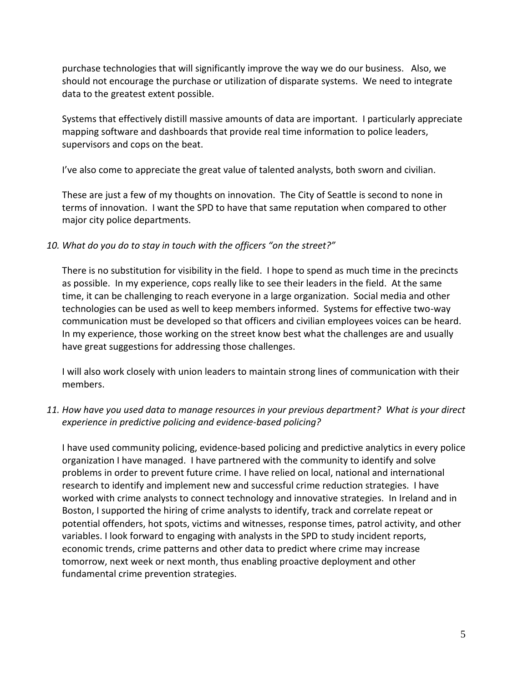purchase technologies that will significantly improve the way we do our business. Also, we should not encourage the purchase or utilization of disparate systems. We need to integrate data to the greatest extent possible.

Systems that effectively distill massive amounts of data are important. I particularly appreciate mapping software and dashboards that provide real time information to police leaders, supervisors and cops on the beat.

I've also come to appreciate the great value of talented analysts, both sworn and civilian.

These are just a few of my thoughts on innovation. The City of Seattle is second to none in terms of innovation. I want the SPD to have that same reputation when compared to other major city police departments.

## *10. What do you do to stay in touch with the officers "on the street?"*

There is no substitution for visibility in the field. I hope to spend as much time in the precincts as possible. In my experience, cops really like to see their leaders in the field. At the same time, it can be challenging to reach everyone in a large organization. Social media and other technologies can be used as well to keep members informed. Systems for effective two-way communication must be developed so that officers and civilian employees voices can be heard. In my experience, those working on the street know best what the challenges are and usually have great suggestions for addressing those challenges.

I will also work closely with union leaders to maintain strong lines of communication with their members.

## *11. How have you used data to manage resources in your previous department? What is your direct experience in predictive policing and evidence-based policing?*

I have used community policing, evidence-based policing and predictive analytics in every police organization I have managed. I have partnered with the community to identify and solve problems in order to prevent future crime. I have relied on local, national and international research to identify and implement new and successful crime reduction strategies. I have worked with crime analysts to connect technology and innovative strategies. In Ireland and in Boston, I supported the hiring of crime analysts to identify, track and correlate repeat or potential offenders, hot spots, victims and witnesses, response times, patrol activity, and other variables. I look forward to engaging with analysts in the SPD to study incident reports, economic trends, crime patterns and other data to predict where crime may increase tomorrow, next week or next month, thus enabling proactive deployment and other fundamental crime prevention strategies.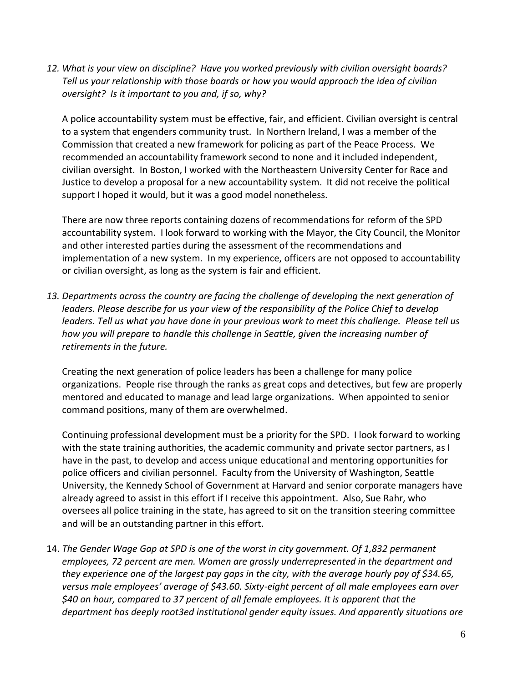*12. What is your view on discipline? Have you worked previously with civilian oversight boards? Tell us your relationship with those boards or how you would approach the idea of civilian oversight? Is it important to you and, if so, why?*

A police accountability system must be effective, fair, and efficient. Civilian oversight is central to a system that engenders community trust. In Northern Ireland, I was a member of the Commission that created a new framework for policing as part of the Peace Process. We recommended an accountability framework second to none and it included independent, civilian oversight. In Boston, I worked with the Northeastern University Center for Race and Justice to develop a proposal for a new accountability system. It did not receive the political support I hoped it would, but it was a good model nonetheless.

There are now three reports containing dozens of recommendations for reform of the SPD accountability system. I look forward to working with the Mayor, the City Council, the Monitor and other interested parties during the assessment of the recommendations and implementation of a new system. In my experience, officers are not opposed to accountability or civilian oversight, as long as the system is fair and efficient.

*13. Departments across the country are facing the challenge of developing the next generation of leaders. Please describe for us your view of the responsibility of the Police Chief to develop leaders. Tell us what you have done in your previous work to meet this challenge. Please tell us how you will prepare to handle this challenge in Seattle, given the increasing number of retirements in the future.*

Creating the next generation of police leaders has been a challenge for many police organizations. People rise through the ranks as great cops and detectives, but few are properly mentored and educated to manage and lead large organizations. When appointed to senior command positions, many of them are overwhelmed.

Continuing professional development must be a priority for the SPD. I look forward to working with the state training authorities, the academic community and private sector partners, as I have in the past, to develop and access unique educational and mentoring opportunities for police officers and civilian personnel. Faculty from the University of Washington, Seattle University, the Kennedy School of Government at Harvard and senior corporate managers have already agreed to assist in this effort if I receive this appointment. Also, Sue Rahr, who oversees all police training in the state, has agreed to sit on the transition steering committee and will be an outstanding partner in this effort.

14. *The Gender Wage Gap at SPD is one of the worst in city government. Of 1,832 permanent employees, 72 percent are men. Women are grossly underrepresented in the department and they experience one of the largest pay gaps in the city, with the average hourly pay of \$34.65, versus male employees' average of \$43.60. Sixty-eight percent of all male employees earn over \$40 an hour, compared to 37 percent of all female employees. It is apparent that the department has deeply root3ed institutional gender equity issues. And apparently situations are*